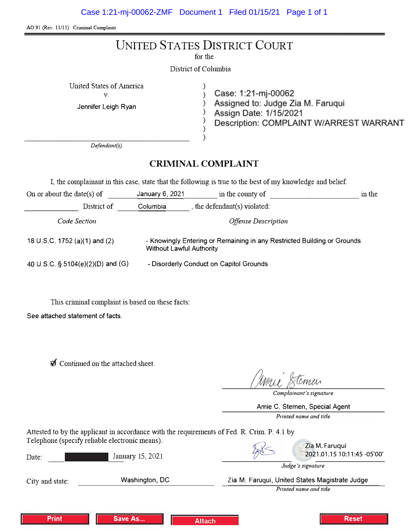AO 91 (Rev. 11/11) Criminal Complaint

|                                                                              | <b>UNITED STATES DISTRICT COURT</b><br>for the<br>District of Columbia                                                        |  |
|------------------------------------------------------------------------------|-------------------------------------------------------------------------------------------------------------------------------|--|
| <b>United States of America</b><br>V.<br>Jennifer Leigh Ryan<br>Defendant(s) | Case: 1:21-mj-00062<br>Assigned to: Judge Zia M. Faruqui<br>Assign Date: 1/15/2021<br>Description: COMPLAINT W/ARREST WARRANT |  |
|                                                                              | <b>CRIMINAL COMPLAINT</b>                                                                                                     |  |
|                                                                              | I, the complainant in this case, state that the following is true to the best of my knowledge and belief.                     |  |
| On or about the date(s) of                                                   | January 6, 2021 in the county of<br>in the                                                                                    |  |
| District of                                                                  | Columbia $\qquad$ , the defendant(s) violated:                                                                                |  |
| Code Section                                                                 | <b>Offense Description</b>                                                                                                    |  |
| 18 U.S.C. 1752 (a)(1) and (2)<br><b>Without Lawful Authority</b>             | - Knowingly Entering or Remaining in any Restricted Building or Grounds                                                       |  |

- Disorderly Conduct on Capitol Grounds

40 U.S.C. § 5104(e)(2)(D) and (G)

This criminal complaint is based on these facts:

**Save As...** 

See attached statement of facts.

**Print** 

**Ø** Continued on the attached sheet.

Complainant's signature

Amie C. Stemen, Special Agent

Printed name and title

**Reset** 

Attested to by the applicant in accordance with the requirements of Fed. R. Crim. P. 4.1 by Telephone (specify reliable electronic means).

| I elephone (specify reliable electronic means). |                  | Zia M. Faruqui                                 |  |
|-------------------------------------------------|------------------|------------------------------------------------|--|
| Date:                                           | January 15, 2021 | 2021.01.15 10:11:45 -05'00'                    |  |
|                                                 |                  | Judge's signature                              |  |
| City and state:                                 | Washington, DC   | Zia M. Faruqui, United States Magistrate Judge |  |
|                                                 |                  | Printed name and title                         |  |
|                                                 |                  |                                                |  |
|                                                 |                  |                                                |  |

**Attach**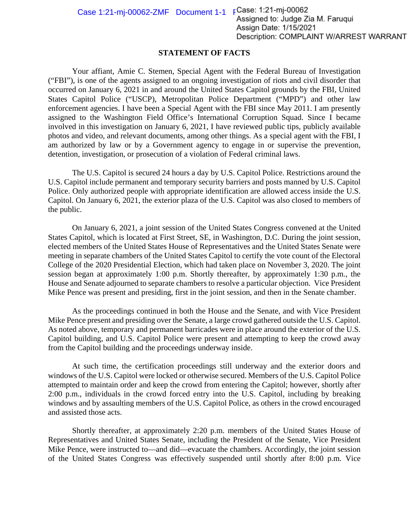Case 1:21-mj-00062-ZMF Document  $1-1$  FCase: 1:21-mj-00062<br>Assigned to: Judge Zia M. Farugui Assign Date: 1/15/2021 Description: COMPLAINT W/ARREST WARRANT

#### **STATEMENT OF FACTS**

Your affiant, Amie C. Stemen, Special Agent with the Federal Bureau of Investigation ("FBI"), is one of the agents assigned to an ongoing investigation of riots and civil disorder that occurred on January 6, 2021 in and around the United States Capitol grounds by the FBI, United States Capitol Police ("USCP), Metropolitan Police Department ("MPD") and other law enforcement agencies. I have been a Special Agent with the FBI since May 2011. I am presently assigned to the Washington Field Office's International Corruption Squad. Since I became involved in this investigation on January 6, 2021, I have reviewed public tips, publicly available photos and video, and relevant documents, among other things. As a special agent with the FBI, I am authorized by law or by a Government agency to engage in or supervise the prevention, detention, investigation, or prosecution of a violation of Federal criminal laws.

The U.S. Capitol is secured 24 hours a day by U.S. Capitol Police. Restrictions around the U.S. Capitol include permanent and temporary security barriers and posts manned by U.S. Capitol Police. Only authorized people with appropriate identification are allowed access inside the U.S. Capitol. On January 6, 2021, the exterior plaza of the U.S. Capitol was also closed to members of the public.

On January 6, 2021, a joint session of the United States Congress convened at the United States Capitol, which is located at First Street, SE, in Washington, D.C. During the joint session, elected members of the United States House of Representatives and the United States Senate were meeting in separate chambers of the United States Capitol to certify the vote count of the Electoral College of the 2020 Presidential Election, which had taken place on November 3, 2020. The joint session began at approximately 1:00 p.m. Shortly thereafter, by approximately 1:30 p.m., the House and Senate adjourned to separate chambers to resolve a particular objection. Vice President Mike Pence was present and presiding, first in the joint session, and then in the Senate chamber.

As the proceedings continued in both the House and the Senate, and with Vice President Mike Pence present and presiding over the Senate, a large crowd gathered outside the U.S. Capitol. As noted above, temporary and permanent barricades were in place around the exterior of the U.S. Capitol building, and U.S. Capitol Police were present and attempting to keep the crowd away from the Capitol building and the proceedings underway inside.

At such time, the certification proceedings still underway and the exterior doors and windows of the U.S. Capitol were locked or otherwise secured. Members of the U.S. Capitol Police attempted to maintain order and keep the crowd from entering the Capitol; however, shortly after 2:00 p.m., individuals in the crowd forced entry into the U.S. Capitol, including by breaking windows and by assaulting members of the U.S. Capitol Police, as others in the crowd encouraged and assisted those acts.

Shortly thereafter, at approximately 2:20 p.m. members of the United States House of Representatives and United States Senate, including the President of the Senate, Vice President Mike Pence, were instructed to—and did—evacuate the chambers. Accordingly, the joint session of the United States Congress was effectively suspended until shortly after 8:00 p.m. Vice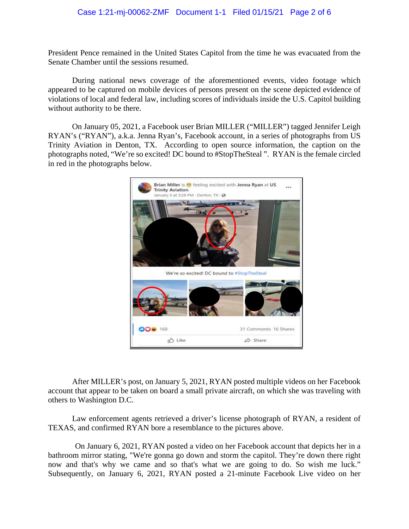#### Case 1:21-mj-00062-ZMF Document 1-1 Filed 01/15/21 Page 2 of 6

President Pence remained in the United States Capitol from the time he was evacuated from the Senate Chamber until the sessions resumed.

During national news coverage of the aforementioned events, video footage which appeared to be captured on mobile devices of persons present on the scene depicted evidence of violations of local and federal law, including scores of individuals inside the U.S. Capitol building without authority to be there.

On January 05, 2021, a Facebook user Brian MILLER ("MILLER") tagged Jennifer Leigh RYAN's ("RYAN"), a.k.a. Jenna Ryan's, Facebook account, in a series of photographs from US Trinity Aviation in Denton, TX. According to open source information, the caption on the photographs noted, "We're so excited! DC bound to #StopTheSteal ". RYAN is the female circled in red in the photographs below.



After MILLER's post, on January 5, 2021, RYAN posted multiple videos on her Facebook account that appear to be taken on board a small private aircraft, on which she was traveling with others to Washington D.C.

Law enforcement agents retrieved a driver's license photograph of RYAN, a resident of TEXAS, and confirmed RYAN bore a resemblance to the pictures above.

On January 6, 2021, RYAN posted a video on her Facebook account that depicts her in a bathroom mirror stating, "We're gonna go down and storm the capitol. They're down there right now and that's why we came and so that's what we are going to do. So wish me luck." Subsequently, on January 6, 2021, RYAN posted a 21-minute Facebook Live video on her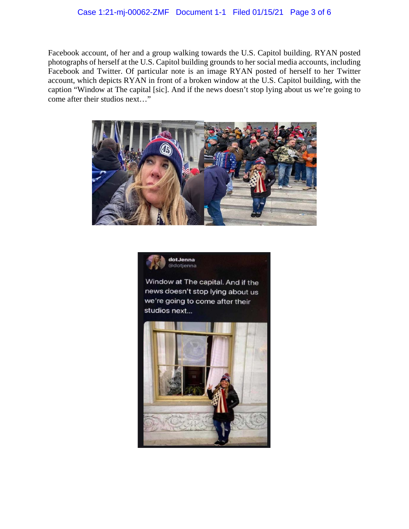# Case 1:21-mj-00062-ZMF Document 1-1 Filed 01/15/21 Page 3 of 6

Facebook account, of her and a group walking towards the U.S. Capitol building. RYAN posted photographs of herself at the U.S. Capitol building grounds to her social media accounts, including Facebook and Twitter. Of particular note is an image RYAN posted of herself to her Twitter account, which depicts RYAN in front of a broken window at the U.S. Capitol building, with the caption "Window at The capital [sic]. And if the news doesn't stop lying about us we're going to come after their studios next…"





Window at The capital. And if the news doesn't stop lying about us we're going to come after their studios next...

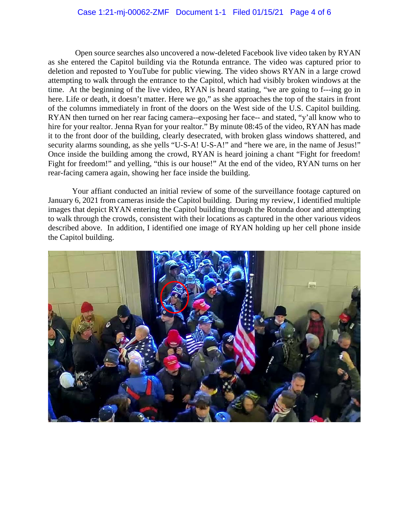# Case 1:21-mj-00062-ZMF Document 1-1 Filed 01/15/21 Page 4 of 6

Open source searches also uncovered a now-deleted Facebook live video taken by RYAN as she entered the Capitol building via the Rotunda entrance. The video was captured prior to deletion and reposted to YouTube for public viewing. The video shows RYAN in a large crowd attempting to walk through the entrance to the Capitol, which had visibly broken windows at the time. At the beginning of the live video, RYAN is heard stating, "we are going to f---ing go in here. Life or death, it doesn't matter. Here we go," as she approaches the top of the stairs in front of the columns immediately in front of the doors on the West side of the U.S. Capitol building. RYAN then turned on her rear facing camera--exposing her face-- and stated, "y'all know who to hire for your realtor. Jenna Ryan for your realtor." By minute 08:45 of the video, RYAN has made it to the front door of the building, clearly desecrated, with broken glass windows shattered, and security alarms sounding, as she yells "U-S-A! U-S-A!" and "here we are, in the name of Jesus!" Once inside the building among the crowd, RYAN is heard joining a chant "Fight for freedom! Fight for freedom!" and yelling, "this is our house!" At the end of the video, RYAN turns on her rear-facing camera again, showing her face inside the building.

Your affiant conducted an initial review of some of the surveillance footage captured on January 6, 2021 from cameras inside the Capitol building. During my review, I identified multiple images that depict RYAN entering the Capitol building through the Rotunda door and attempting to walk through the crowds, consistent with their locations as captured in the other various videos described above. In addition, I identified one image of RYAN holding up her cell phone inside the Capitol building.

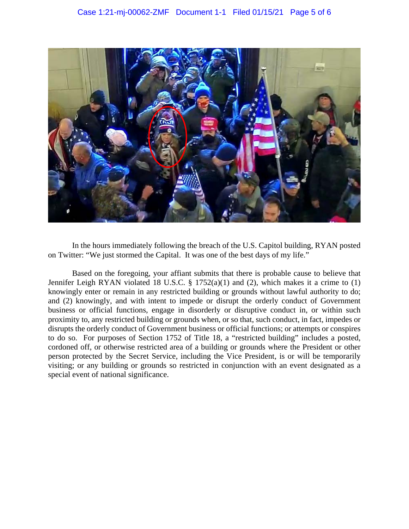

In the hours immediately following the breach of the U.S. Capitol building, RYAN posted on Twitter: "We just stormed the Capital. It was one of the best days of my life."

Based on the foregoing, your affiant submits that there is probable cause to believe that Jennifer Leigh RYAN violated 18 U.S.C. § 1752(a)(1) and (2), which makes it a crime to (1) knowingly enter or remain in any restricted building or grounds without lawful authority to do; and (2) knowingly, and with intent to impede or disrupt the orderly conduct of Government business or official functions, engage in disorderly or disruptive conduct in, or within such proximity to, any restricted building or grounds when, or so that, such conduct, in fact, impedes or disrupts the orderly conduct of Government business or official functions; or attempts or conspires to do so. For purposes of Section 1752 of Title 18, a "restricted building" includes a posted, cordoned off, or otherwise restricted area of a building or grounds where the President or other person protected by the Secret Service, including the Vice President, is or will be temporarily visiting; or any building or grounds so restricted in conjunction with an event designated as a special event of national significance.